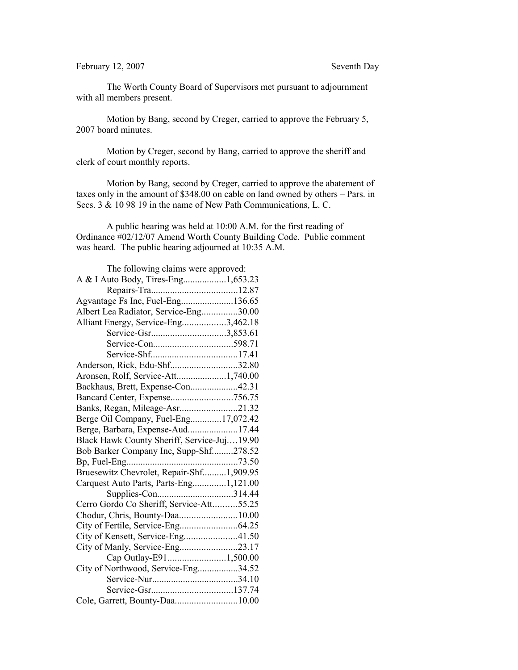## February 12, 2007 Seventh Day

The Worth County Board of Supervisors met pursuant to adjournment with all members present.

Motion by Bang, second by Creger, carried to approve the February 5, 2007 board minutes.

Motion by Creger, second by Bang, carried to approve the sheriff and clerk of court monthly reports.

Motion by Bang, second by Creger, carried to approve the abatement of taxes only in the amount of \$348.00 on cable on land owned by others – Pars. in Secs. 3 & 10 98 19 in the name of New Path Communications, L. C.

A public hearing was held at 10:00 A.M. for the first reading of Ordinance #02/12/07 Amend Worth County Building Code. Public comment was heard. The public hearing adjourned at 10:35 A.M.

| The following claims were approved:         |  |
|---------------------------------------------|--|
| A & I Auto Body, Tires-Eng1,653.23          |  |
|                                             |  |
| Agvantage Fs Inc, Fuel-Eng136.65            |  |
| Albert Lea Radiator, Service-Eng30.00       |  |
| Alliant Energy, Service-Eng3,462.18         |  |
| Service-Gsr3,853.61                         |  |
|                                             |  |
|                                             |  |
| Anderson, Rick, Edu-Shf32.80                |  |
| Aronsen, Rolf, Service-Att1,740.00          |  |
| Backhaus, Brett, Expense-Con42.31           |  |
| Bancard Center, Expense756.75               |  |
| Banks, Regan, Mileage-Asr21.32              |  |
| Berge Oil Company, Fuel-Eng17,072.42        |  |
| Berge, Barbara, Expense-Aud17.44            |  |
| Black Hawk County Sheriff, Service-Juj19.90 |  |
| Bob Barker Company Inc, Supp-Shf278.52      |  |
|                                             |  |
| Bruesewitz Chevrolet, Repair-Shf1,909.95    |  |
| Carquest Auto Parts, Parts-Eng1,121.00      |  |
|                                             |  |
| Cerro Gordo Co Sheriff, Service-Att55.25    |  |
| Chodur, Chris, Bounty-Daa10.00              |  |
|                                             |  |
| City of Kensett, Service-Eng41.50           |  |
| City of Manly, Service-Eng23.17             |  |
| Cap Outlay-E911,500.00                      |  |
| City of Northwood, Service-Eng34.52         |  |
|                                             |  |
|                                             |  |
| Cole, Garrett, Bounty-Daa10.00              |  |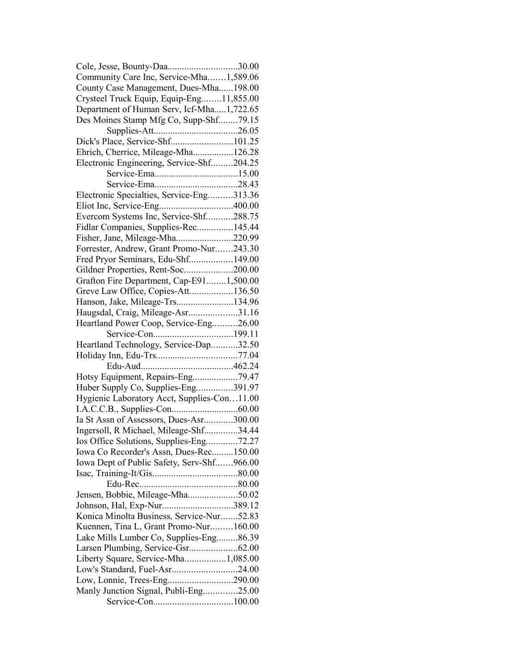| Cole, Jesse, Bounty-Daa30.00                |  |
|---------------------------------------------|--|
| Community Care Inc, Service-Mha1,589.06     |  |
| County Case Management, Dues-Mha198.00      |  |
| Crysteel Truck Equip, Equip-Eng11,855.00    |  |
| Department of Human Serv, Icf-Mha1,722.65   |  |
| Des Moines Stamp Mfg Co, Supp-Shf79.15      |  |
|                                             |  |
| Dick's Place, Service-Shf101.25             |  |
| Ehrich, Cherrice, Mileage-Mha126.28         |  |
| Electronic Engineering, Service-Shf204.25   |  |
|                                             |  |
|                                             |  |
| Electronic Specialties, Service-Eng313.36   |  |
|                                             |  |
| Evercom Systems Inc, Service-Shf288.75      |  |
|                                             |  |
| Fidlar Companies, Supplies-Rec145.44        |  |
| Fisher, Jane, Mileage-Mha220.99             |  |
| Forrester, Andrew, Grant Promo-Nur243.30    |  |
| Fred Pryor Seminars, Edu-Shf149.00          |  |
| Gildner Properties, Rent-Soc200.00          |  |
| Grafton Fire Department, Cap-E911,500.00    |  |
| Greve Law Office, Copies-Att136.50          |  |
| Hanson, Jake, Mileage-Trs134.96             |  |
| Haugsdal, Craig, Mileage-Asr31.16           |  |
| Heartland Power Coop, Service-Eng26.00      |  |
|                                             |  |
| Heartland Technology, Service-Dap32.50      |  |
|                                             |  |
|                                             |  |
| Hotsy Equipment, Repairs-Eng79.47           |  |
| Huber Supply Co, Supplies-Eng391.97         |  |
| Hygienic Laboratory Acct, Supplies-Con11.00 |  |
|                                             |  |
| Ia St Assn of Assessors, Dues-Asr300.00     |  |
| Ingersoll, R Michael, Mileage-Shf34.44      |  |
| Ios Office Solutions, Supplies-Eng72.27     |  |
| Iowa Co Recorder's Assn, Dues-Rec150.00     |  |
| Iowa Dept of Public Safety, Serv-Shf966.00  |  |
|                                             |  |
|                                             |  |
| Jensen, Bobbie, Mileage-Mha50.02            |  |
| Johnson, Hal, Exp-Nur389.12                 |  |
| Konica Minolta Business, Service-Nur52.83   |  |
|                                             |  |
| Kuennen, Tina L, Grant Promo-Nur160.00      |  |
| Lake Mills Lumber Co, Supplies-Eng86.39     |  |
|                                             |  |
| Liberty Square, Service-Mha1,085.00         |  |
| Low's Standard, Fuel-Asr24.00               |  |
| Low, Lonnie, Trees-Eng290.00                |  |
| Manly Junction Signal, Publi-Eng25.00       |  |
|                                             |  |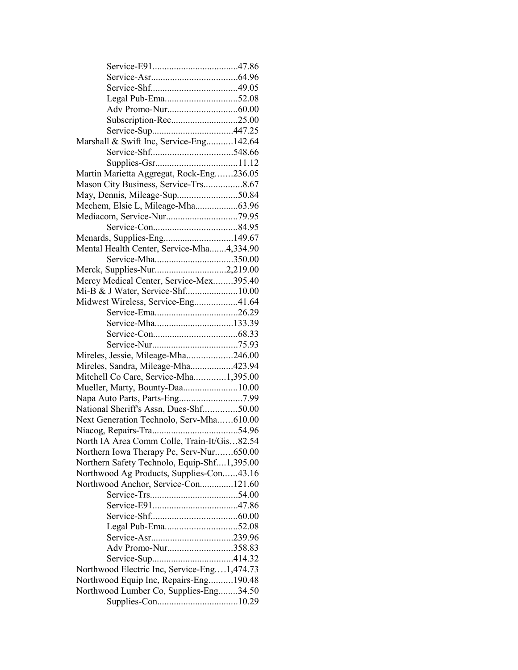| Subscription-Rec25.00                       |  |
|---------------------------------------------|--|
|                                             |  |
| Marshall & Swift Inc, Service-Eng142.64     |  |
|                                             |  |
|                                             |  |
| Martin Marietta Aggregat, Rock-Eng236.05    |  |
| Mason City Business, Service-Trs8.67        |  |
| May, Dennis, Mileage-Sup50.84               |  |
| Mechem, Elsie L, Mileage-Mha63.96           |  |
|                                             |  |
|                                             |  |
| Menards, Supplies-Eng149.67                 |  |
|                                             |  |
| Mental Health Center, Service-Mha4,334.90   |  |
| Service-Mha350.00                           |  |
|                                             |  |
| Mercy Medical Center, Service-Mex395.40     |  |
|                                             |  |
| Midwest Wireless, Service-Eng41.64          |  |
|                                             |  |
|                                             |  |
|                                             |  |
|                                             |  |
| Mireles, Jessie, Mileage-Mha246.00          |  |
| Mireles, Sandra, Mileage-Mha423.94          |  |
| Mitchell Co Care, Service-Mha1,395.00       |  |
| Mueller, Marty, Bounty-Daa10.00             |  |
|                                             |  |
| National Sheriff's Assn, Dues-Shf50.00      |  |
| Next Generation Technolo, Serv-Mha610.00    |  |
|                                             |  |
| North IA Area Comm Colle, Train-It/Gis82.54 |  |
| Northern Iowa Therapy Pc, Serv-Nur650.00    |  |
| Northern Safety Technolo, Equip-Shf1,395.00 |  |
| Northwood Ag Products, Supplies-Con43.16    |  |
| Northwood Anchor, Service-Con121.60         |  |
|                                             |  |
|                                             |  |
|                                             |  |
|                                             |  |
|                                             |  |
| Adv Promo-Nur358.83                         |  |
|                                             |  |
| Northwood Electric Inc, Service-Eng1,474.73 |  |
| Northwood Equip Inc, Repairs-Eng190.48      |  |
| Northwood Lumber Co, Supplies-Eng34.50      |  |
|                                             |  |
|                                             |  |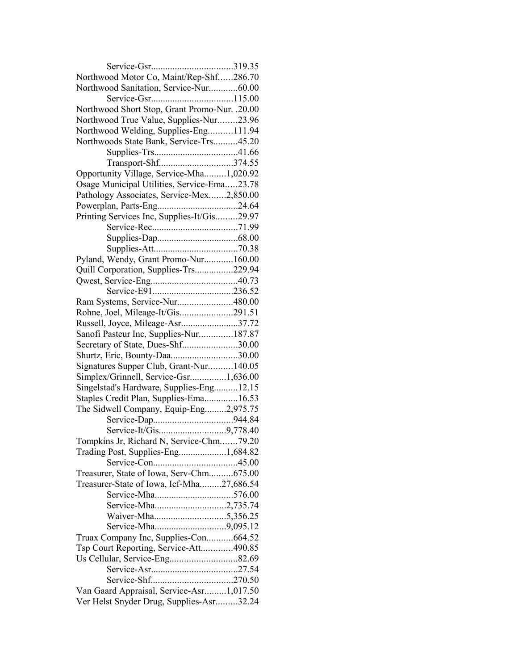| Northwood Motor Co, Maint/Rep-Shf286.70       |  |
|-----------------------------------------------|--|
| Northwood Sanitation, Service-Nur60.00        |  |
|                                               |  |
| Northwood Short Stop, Grant Promo-Nur. .20.00 |  |
| Northwood True Value, Supplies-Nur23.96       |  |
| Northwood Welding, Supplies-Eng111.94         |  |
| Northwoods State Bank, Service-Trs45.20       |  |
|                                               |  |
| Transport-Shf374.55                           |  |
| Opportunity Village, Service-Mha1,020.92      |  |
| Osage Municipal Utilities, Service-Ema23.78   |  |
| Pathology Associates, Service-Mex2,850.00     |  |
|                                               |  |
| Printing Services Inc, Supplies-It/Gis29.97   |  |
|                                               |  |
|                                               |  |
|                                               |  |
| Pyland, Wendy, Grant Promo-Nur160.00          |  |
| Quill Corporation, Supplies-Trs229.94         |  |
|                                               |  |
|                                               |  |
| Ram Systems, Service-Nur480.00                |  |
| Rohne, Joel, Mileage-It/Gis291.51             |  |
| Russell, Joyce, Mileage-Asr37.72              |  |
| Sanofi Pasteur Inc, Supplies-Nur187.87        |  |
| Secretary of State, Dues-Shf30.00             |  |
| Shurtz, Eric, Bounty-Daa30.00                 |  |
| Signatures Supper Club, Grant-Nur140.05       |  |
| Simplex/Grinnell, Service-Gsr1,636.00         |  |
| Singelstad's Hardware, Supplies-Eng12.15      |  |
| Staples Credit Plan, Supplies-Ema16.53        |  |
| The Sidwell Company, Equip-Eng2,975.75        |  |
|                                               |  |
|                                               |  |
| Tompkins Jr, Richard N, Service-Chm79.20      |  |
| Trading Post, Supplies-Eng1,684.82            |  |
|                                               |  |
| Treasurer, State of Iowa, Serv-Chm675.00      |  |
| Treasurer-State of Iowa, Icf-Mha27,686.54     |  |
|                                               |  |
| Service-Mha2,735.74                           |  |
|                                               |  |
|                                               |  |
| Truax Company Inc, Supplies-Con664.52         |  |
| Tsp Court Reporting, Service-Att490.85        |  |
| Us Cellular, Service-Eng82.69                 |  |
|                                               |  |
|                                               |  |
| Van Gaard Appraisal, Service-Asr1,017.50      |  |
| Ver Helst Snyder Drug, Supplies-Asr32.24      |  |
|                                               |  |